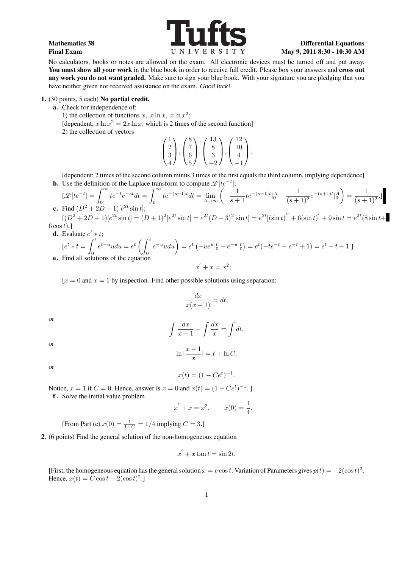

No calculators, books or notes are allowed on the exam. All electronic devices must be turned off and put away. You must show all your work in the blue book in order to receive full credit. Please box your answers and cross out any work you do not want graded. Make sure to sign your blue book. With your signature you are pledging that you have neither given nor received assistance on the exam. Good luck!

1. (30 points, 5 each) No partial credit.

a. Check for independence of:

1) the collection of functions  $x$ ,  $x \ln x$ ,  $x \ln x^2$ ;

[dependent;  $x \ln x^2 = 2x \ln x$ , which is 2 times of the second function]

2) the collection of vectors

$$
\begin{pmatrix} 1 \\ 2 \\ 3 \\ 4 \end{pmatrix}, \begin{pmatrix} 8 \\ 7 \\ 6 \\ 5 \end{pmatrix}, \begin{pmatrix} 13 \\ 8 \\ 3 \\ -2 \end{pmatrix}, \begin{pmatrix} 12 \\ 10 \\ 4 \\ -1 \end{pmatrix};
$$

[dependent; 2 times of the second column minus 3 times of the first equals the third column, implying dependence]

**b.** Use the definition of the Laplace transform to compute  $\mathscr{L}[te^{-t}]$ ;

$$
[\mathcal{L}[te^{-t}] = \int_0^\infty te^{-t}e^{-st}dt = \int_0^\infty te^{-(s+1)t}dt = \lim_{A \to \infty} \left( -\frac{1}{s+1}te^{-(s+1)t}|_0^A - \frac{1}{(s+1)^2}e^{-(s+1)t}|_0^A \right) = \frac{1}{(s+1)^2}.
$$
  
c. Find  $(D^2 + 2D + 1)[e^{2t}\sin t]$ ;

 $[(D^2+2D+1)]e^{2t}\sin t] = (D+1)^2[e^{2t}\sin t] = e^{2t}(D+3)^2[\sin t] = e^{2t}[(\sin t)'' + 6(\sin t)' + 9\sin t] = e^{2t}(8\sin t +$ 6 cos*t*)*.*]

**d.** Evaluate  $e^t * t$ ;

$$
[e^t * t = \int_0^t e^{t-u} u du = e^t \left( \int_0^t e^{-u} u du \right) = e^t \left( -ue^u \vert_0^t - e^{-u} \vert_0^t \right) = e^t (-te^{-t} - e^{-t} + 1) = e^t - t - 1.
$$
  
**e.** Find all solutions of the equation  

$$
x' + x = x^2;
$$

 $[x = 0 \text{ and } x = 1 \text{ by inspection.}$  Find other possible solutions using separation:

$$
\frac{dx}{x(x-1)} = dt,
$$

or

$$
\int \frac{dx}{x-1} - \int \frac{dx}{x} = \int dt,
$$

$$
\ln|\frac{x-1}{x}| = t + \ln C,
$$

or

or

$$
x(t) = (1 - Ce^t)^{-1}.
$$

Notice,  $x = 1$  if  $C = 0$ . Hence, answer is  $x = 0$  and  $x(t) = (1 - Ce^{t})^{-1}$ .

f . Solve the initial value problem

$$
x' + x = x^2
$$
,  $x(0) = \frac{1}{4}$ .

[From Part (e)  $x(0) = \frac{1}{1 - C} = 1/4$  implying  $C = 3$ .]

2. (6 points) Find the general solution of the non-homogeneous equation

$$
x^{'} + x \tan t = \sin 2t.
$$

[First, the homogeneous equation has the general solution  $x = c \cos t$ . Variation of Parameters gives  $p(t) = -2(\cos t)^2$ . Hence,  $x(t) = C \cos t - 2(\cos t)^2$ .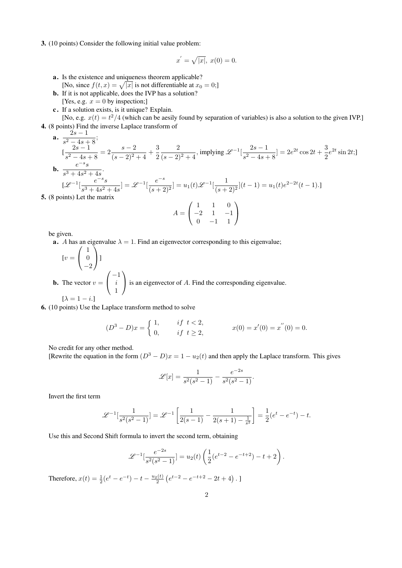3. (10 points) Consider the following initial value problem:

$$
x^{'} = \sqrt{|x|}, \ x(0) = 0.
$$

- a. Is the existence and uniqueness theorem applicable? [No, since  $f(t, x) = \sqrt{|x|}$  is not differentiable at  $x_0 = 0$ ;]
- b. If it is not applicable, does the IVP has a solution? [Yes, e.g.  $x = 0$  by inspection;]
- c . If a solution exists, is it unique? Explain.

[No, e.g.  $x(t) = t^2/4$  (which can be aesily found by separation of variables) is also a solution to the given IVP.] 4. (8 points) Find the inverse Laplace transform of

**a.** 
$$
\frac{2s-1}{s^2-4s+8};
$$
  
\n
$$
[\frac{2s-1}{s^2-4s+8} = 2\frac{s-2}{(s-2)^2+4} + \frac{3}{2}\frac{2}{(s-2)^2+4}, \text{ implying } \mathcal{L}^{-1}[\frac{2s-1}{s^2-4s+8}] = 2e^{2t}\cos 2t + \frac{3}{2}e^{2t}\sin 2t;
$$
  
\n**b.** 
$$
\frac{e^{-s}s}{s^3+4s^2+4s}.
$$
  
\n
$$
[\mathcal{L}^{-1}[\frac{e^{-s}s}{s^3+4s^2+4s}] = \mathcal{L}^{-1}[\frac{e^{-s}}{(s+2)^2}] = u_1(t)\mathcal{L}^{-1}[\frac{1}{(s+2)^2}](t-1) = u_1(t)e^{2-2t}(t-1).
$$

5. (8 points) Let the matrix

$$
A = \begin{pmatrix} 1 & 1 & 0 \\ -2 & 1 & -1 \\ 0 & -1 & 1 \end{pmatrix}
$$

be given.

**a.** *A* has an eigenvalue  $\lambda = 1$ . Find an eigenvector corresponding to this eigenvalue;

$$
[v = \begin{pmatrix} 1 \\ 0 \\ -2 \end{pmatrix}]
$$
  
**b.** The vector  $v = \begin{pmatrix} -1 \\ i \\ 1 \end{pmatrix}$  is an eigenvector of *A*. Find the corresponding eigenvalue.  

$$
[\lambda = 1 - i.]
$$

6. (10 points) Use the Laplace transform method to solve

$$
(D^3 - D)x = \begin{cases} 1, & if \ t < 2, \\ 0, & if \ t \ge 2, \end{cases} \qquad x(0) = x'(0) = x''(0) = 0.
$$

No credit for any other method.

[Rewrite the equation in the form  $(D^3 - D)x = 1 - u_2(t)$  and then apply the Laplace transform. This gives

$$
\mathcal{L}[x] = \frac{1}{s^2(s^2 - 1)} - \frac{e^{-2s}}{s^2(s^2 - 1)}.
$$

Invert the first term

$$
\mathcal{L}^{-1}[\frac{1}{s^2(s^2-1)}] = \mathcal{L}^{-1}\left[\frac{1}{2(s-1)} - \frac{1}{2(s+1) - \frac{1}{s^2}}\right] = \frac{1}{2}(e^t - e^{-t}) - t.
$$

Use this and Second Shift formula to invert the second term, obtaining

$$
\mathscr{L}^{-1}[\frac{e^{-2s}}{s^2(s^2-1)}] = u_2(t) \left( \frac{1}{2} (e^{t-2} - e^{-t+2}) - t + 2 \right).
$$

Therefore,  $x(t) = \frac{1}{2}(e^t - e^{-t}) - t - \frac{u_2(t)}{2}(e^{t-2} - e^{-t+2} - 2t + 4)$ .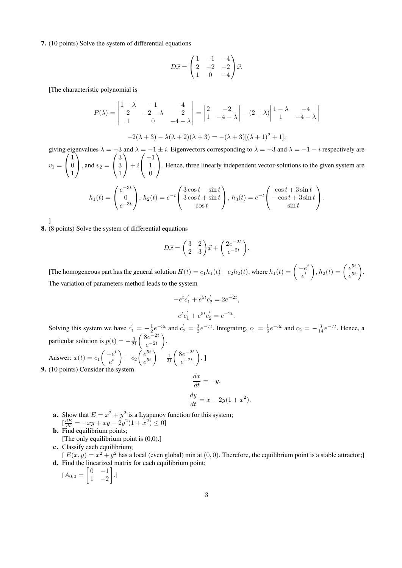7. (10 points) Solve the system of differential equations

$$
D\vec{x} = \begin{pmatrix} 1 & -1 & -4 \\ 2 & -2 & -2 \\ 1 & 0 & -4 \end{pmatrix} \vec{x}.
$$

[The characteristic polynomial is

$$
P(\lambda) = \begin{vmatrix} 1 - \lambda & -1 & -4 \\ 2 & -2 - \lambda & -2 \\ 1 & 0 & -4 - \lambda \end{vmatrix} = \begin{vmatrix} 2 & -2 \\ 1 & -4 - \lambda \end{vmatrix} - (2 + \lambda) \begin{vmatrix} 1 - \lambda & -4 \\ 1 & -4 - \lambda \end{vmatrix}
$$

$$
-2(\lambda + 3) - \lambda(\lambda + 2)(\lambda + 3) = -(\lambda + 3)[(\lambda + 1)^2 + 1],
$$

giving eigenvalues  $\lambda = -3$  and  $\lambda = -1 \pm i$ . Eigenvectors corresponding to  $\lambda = -3$  and  $\lambda = -1 - i$  respectively are  $v_1 =$  $\sqrt{ }$  $\mathcal{L}$ 1  $\overline{0}$ 1  $\setminus$  $\Big\}$ , and  $v_2 =$  $\sqrt{ }$  $\overline{1}$ 3 3 1  $\setminus$  $+ i$  $\sqrt{ }$  $\mathcal{L}$ *−*1 1 0  $\setminus$ *.* Hence, three linearly independent vector-solutions to the given system are

$$
h_1(t) = \begin{pmatrix} e^{-3t} \\ 0 \\ e^{-3t} \end{pmatrix}, h_2(t) = e^{-t} \begin{pmatrix} 3\cos t - \sin t \\ 3\cos t + \sin t \\ \cos t \end{pmatrix}, h_3(t) = e^{-t} \begin{pmatrix} \cos t + 3\sin t \\ -\cos t + 3\sin t \\ \sin t \end{pmatrix}.
$$

]

8. (8 points) Solve the system of differential equations

$$
D\vec{x} = \begin{pmatrix} 3 & 2 \\ 2 & 3 \end{pmatrix} \vec{x} + \begin{pmatrix} 2e^{-2t} \\ e^{-2t} \end{pmatrix}.
$$

[The homogeneous part has the general solution  $H(t) = c_1 h_1(t) + c_2 h_2(t)$ , where  $h_1(t) = \begin{cases} -e^t & t \end{cases}$ *e t*  $\Bigg), h_2(t) = \left( \frac{e^{5t}}{e^{5t}} \right)$  $e^{5t}$ ) *.* The variation of parameters method leads to the system

$$
-e^t c'_1 + e^{5t} c'_2 = 2e^{-2t},
$$
  

$$
e^t c'_1 + e^{5t} c'_2 = e^{-2t}.
$$

Solving this system we have  $c'_1 = -\frac{1}{2}e^{-3t}$  and  $c'_2 = \frac{3}{2}e^{-7t}$ . Integrating,  $c_1 = \frac{1}{6}e^{-3t}$  and  $c_2 = -\frac{3}{14}e^{-7t}$ . Hence, a particular solution is  $p(t) = -\frac{1}{21} \left( \frac{8e^{-2t}}{e^{-2t}} \right)$ *e −*2*t* ) *.* Answer:  $x(t) = c_1 \begin{pmatrix} -e^t \\ e^t \end{pmatrix}$ *e t*  $\bigg\rangle + c_2 \bigg( \frac{e^{5t}}{e^{5t}}$  $e^{5t}$  $\setminus$  $-\frac{1}{21}\left(\frac{8e^{-2t}}{e^{-2t}}\right)$ *e −*2*t* ) *.* ] 9. (10 points) Consider the system

$$
\frac{dx}{dt} = -y,
$$
  

$$
\frac{dy}{dt} = x - 2y(1 + x^2).
$$

- **a.** Show that  $E = x^2 + y^2$  is a Lyapunov function for this system;  $\frac{dE}{dt} = -xy + xy - 2y^2(1 + x^2) \le 0$
- b. Find equilibrium points; [The only equilibrium point is (0,0).]
- c. Classify each equilibrium;

 $[E(x, y) = x^2 + y^2]$  has a local (even global) min at  $(0, 0)$ . Therefore, the equilibrium point is a stable attractor; d. Find the linearized matrix for each equilibrium point;

 $[A_{0,0} = \begin{bmatrix} 0 & -1 \\ 1 & 2 \end{bmatrix}]$ 1 *−*2 ] *.*]